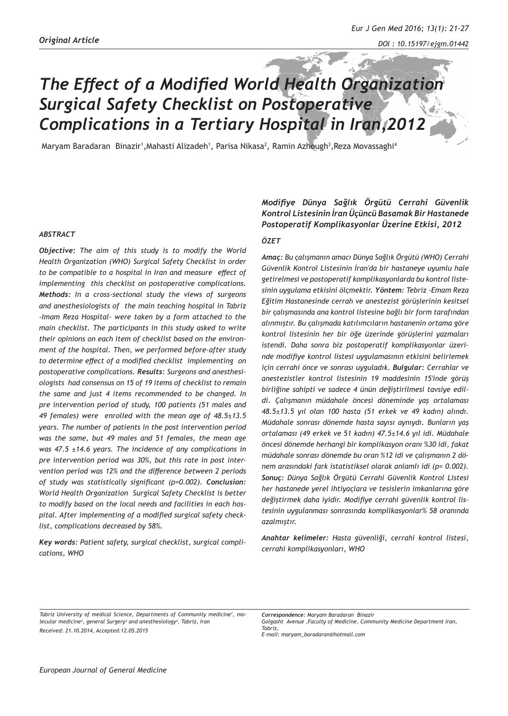# *The Effect of a Modified World Health Organization Surgical Safety Checklist on Postoperative Complications in a Tertiary Hospital in Iran,2012*

Maryam Baradaran Binazir<sup>1</sup>,Mahasti Alizadeh<sup>1</sup>, Parisa Nikasa<sup>2</sup>, Ramin Azhough<sup>3</sup>,Reza Movassaghi<sup>4</sup>

#### *ABSTRACT*

*Objective: The aim of this study is to modify the World Health Organization (WHO) Surgical Safety Checklist in order to be compatible to a hospital in Iran and measure effect of implementing this checklist on postoperative complications. Methods: In a cross-sectional study the views of surgeons and anesthesiologists of the main teaching hospital in Tabriz -Imam Reza Hospital- were taken by a form attached to the main checklist. The participants in this study asked to write their opinions on each item of checklist based on the environment of the hospital. Then, we performed before-after study to determine effect of a modified checklist implementing on postoperative complications. Results: Surgeons and anesthesiologists had consensus on 15 of 19 items of checklist to remain the same and just 4 items recommended to be changed. In pre intervention period of study, 100 patients (51 males and 49 females) were enrolled with the mean age of 48.5±13.5 years. The number of patients in the post intervention period was the same, but 49 males and 51 females, the mean age was 47.5 ±14.6 years. The incidence of any complications in pre intervention period was 30%, but this rate in post intervention period was 12% and the difference between 2 periods of study was statistically significant (p=0.002). Conclusion: World Health Organization Surgical Safety Checklist is better to modify based on the local needs and facilities in each hospital. After implementing of a modified surgical safety checklist, complications decreased by 58%.*

*Key words: Patient safety, surgical checklist, surgical complications, WHO* 

# *Modifiye Dünya Sağlık Örgütü Cerrahi Güvenlik Kontrol Listesinin İran Üçüncü Basamak Bir Hastanede Postoperatif Komplikasyonlar Üzerine Etkisi, 2012*

## *ÖZET*

*Amaç: Bu çalışmanın amacı Dünya Sağlık Örgütü (WHO) Cerrahi Güvenlik Kontrol Listesinin İran'da bir hastaneye uyumlu hale getirelmesi ve postoperatif komplikasyonlarda bu kontrol listesinin uygulama etkisini ölçmektir. Yöntem: Tebriz -Emam Reza Eğitim Hastanesinde cerrah ve anestezist görüşlerinin kesitsel bir çalışmasında ana kontrol listesine bağlı bir form tarafından alınmıştır. Bu çalışmada katılımcıların hastanenin ortama göre kontrol listesinin her bir öğe üzerinde görüşlerini yazmaları istendi. Daha sonra biz postoperatif komplikasyonlar üzerinde modifiye kontrol listesi uygulamasının etkisini belirlemek için cerrahi önce ve sonrası uyguladık. Bulgular: Cerrahlar ve anestezistler kontrol listesinin 19 maddesinin 15'inde görüş birliğine sahipti ve sadece 4 ünün değiştirilmesi tavsiye edildi. Çalışmanın müdahale öncesi döneminde yaş ortalaması 48.5±13.5 yıl olan 100 hasta (51 erkek ve 49 kadın) alındı. Müdahale sonrası dönemde hasta sayısı aynıydı. Bunların yaş ortalaması (49 erkek ve 51 kadın) 47.5±14.6 yıl idi. Müdahale öncesi dönemde herhangi bir komplikasyon oranı %30 idi, fakat müdahale sonrası dönemde bu oran %12 idi ve çalışmanın 2 dönem arasındaki fark istatistiksel olarak anlamlı idi (p= 0.002). Sonuç: Dünya Sağlık Örgütü Cerrahi Güvenlik Kontrol Listesi her hastanede yerel ihtiyaçlara ve tesislerin imkanlarına göre değiştirmek daha iyidir. Modifiye cerrahi güvenlik kontrol listesinin uygulanması sonrasında komplikasyonlar% 58 oranında azalmıştır.* 

*Anahtar kelimeler: Hasta güvenliği, cerrahi kontrol listesi, cerrahi komplikasyonları, WHO*

Tabriz University of medical Science, Departments of Community medicine<sup>1</sup>, mo*lecular medicine2 , general Surgery3 and anesthesiology4 , Tabriz, Iran Received: 21.10.2014, Accepted:12.05.2015*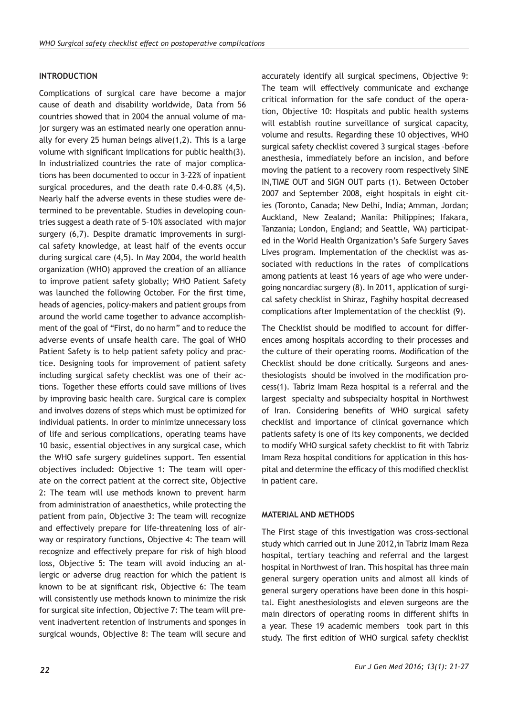### **INTRODUCTION**

Complications of surgical care have become a major cause of death and disability worldwide, Data from 56 countries showed that in 2004 the annual volume of major surgery was an estimated nearly one operation annually for every 25 human beings alive(1,2). This is a large volume with significant implications for public health(3). In industrialized countries the rate of major complications has been documented to occur in 3–22% of inpatient surgical procedures, and the death rate 0.4–0.8% (4,5). Nearly half the adverse events in these studies were determined to be preventable. Studies in developing countries suggest a death rate of 5–10% associated with major surgery (6,7). Despite dramatic improvements in surgical safety knowledge, at least half of the events occur during surgical care (4,5). In May 2004, the world health organization (WHO) approved the creation of an alliance to improve patient safety globally; WHO Patient Safety was launched the following October. For the first time, heads of agencies, policy-makers and patient groups from around the world came together to advance accomplishment of the goal of "First, do no harm" and to reduce the adverse events of unsafe health care. The goal of WHO Patient Safety is to help patient safety policy and practice. Designing tools for improvement of patient safety including surgical safety checklist was one of their actions. Together these efforts could save millions of lives by improving basic health care. Surgical care is complex and involves dozens of steps which must be optimized for individual patients. In order to minimize unnecessary loss of life and serious complications, operating teams have 10 basic, essential objectives in any surgical case, which the WHO safe surgery guidelines support. Ten essential objectives included: Objective 1: The team will operate on the correct patient at the correct site, Objective 2: The team will use methods known to prevent harm from administration of anaesthetics, while protecting the patient from pain, Objective 3: The team will recognize and effectively prepare for life-threatening loss of airway or respiratory functions, Objective 4: The team will recognize and effectively prepare for risk of high blood loss, Objective 5: The team will avoid inducing an allergic or adverse drug reaction for which the patient is known to be at significant risk, Objective 6: The team will consistently use methods known to minimize the risk for surgical site infection, Objective 7: The team will prevent inadvertent retention of instruments and sponges in surgical wounds, Objective 8: The team will secure and

accurately identify all surgical specimens, Objective 9: The team will effectively communicate and exchange critical information for the safe conduct of the operation, Objective 10: Hospitals and public health systems will establish routine surveillance of surgical capacity, volume and results. Regarding these 10 objectives, WHO surgical safety checklist covered 3 surgical stages –before anesthesia, immediately before an incision, and before moving the patient to a recovery room respectively SINE IN,TIME OUT and SIGN OUT parts (1). Between October 2007 and September 2008, eight hospitals in eight cities (Toronto, Canada; New Delhi, India; Amman, Jordan; Auckland, New Zealand; Manila: Philippines; Ifakara, Tanzania; London, England; and Seattle, WA) participated in the World Health Organization's Safe Surgery Saves Lives program. Implementation of the checklist was associated with reductions in the rates of complications among patients at least 16 years of age who were undergoing noncardiac surgery (8). In 2011, application of surgical safety checklist in Shiraz, Faghihy hospital decreased complications after Implementation of the checklist (9).

The Checklist should be modified to account for differences among hospitals according to their processes and the culture of their operating rooms. Modification of the Checklist should be done critically. Surgeons and anesthesiologists should be involved in the modification process(1). Tabriz Imam Reza hospital is a referral and the largest specialty and subspecialty hospital in Northwest of Iran. Considering benefits of WHO surgical safety checklist and importance of clinical governance which patients safety is one of its key components, we decided to modify WHO surgical safety checklist to fit with Tabriz Imam Reza hospital conditions for application in this hospital and determine the efficacy of this modified checklist in patient care.

#### **MATERIAL AND METHODS**

The First stage of this investigation was cross-sectional study which carried out in June 2012,in Tabriz Imam Reza hospital, tertiary teaching and referral and the largest hospital in Northwest of Iran. This hospital has three main general surgery operation units and almost all kinds of general surgery operations have been done in this hospital. Eight anesthesiologists and eleven surgeons are the main directors of operating rooms in different shifts in a year. These 19 academic members took part in this study. The first edition of WHO surgical safety checklist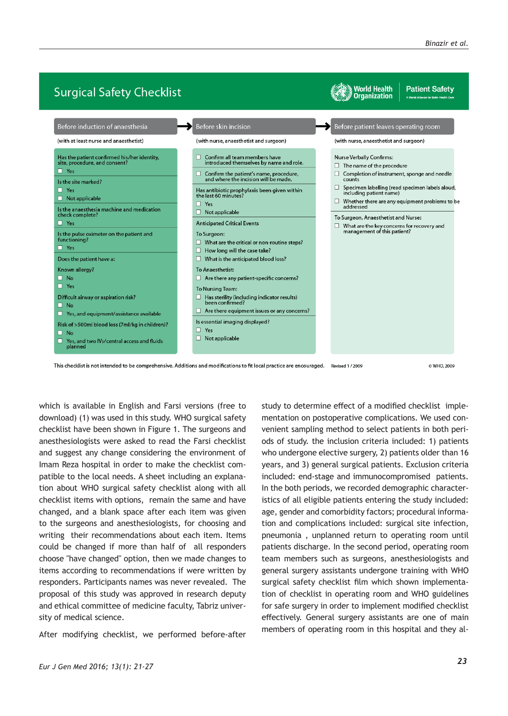

This checklist is not intended to be comprehensive. Additions and modifications to fit local practice are encouraged. Revised 1/2009

© WHO, 2009

which is available in English and Farsi versions (free to download) (1) was used in this study. WHO surgical safety checklist have been shown in Figure 1. The surgeons and anesthesiologists were asked to read the Farsi checklist and suggest any change considering the environment of Imam Reza hospital in order to make the checklist compatible to the local needs. A sheet including an explanation about WHO surgical safety checklist along with all checklist items with options, remain the same and have changed, and a blank space after each item was given to the surgeons and anesthesiologists, for choosing and writing their recommendations about each item. Items could be changed if more than half of all responders choose "have changed" option, then we made changes to items according to recommendations if were written by responders. Participants names was never revealed. The proposal of this study was approved in research deputy and ethical committee of medicine faculty, Tabriz university of medical science.

After modifying checklist, we performed before-after

study to determine effect of a modified checklist implementation on postoperative complications. We used convenient sampling method to select patients in both periods of study. the inclusion criteria included: 1) patients who undergone elective surgery, 2) patients older than 16 years, and 3) general surgical patients. Exclusion criteria included: end-stage and immunocompromised patients. In the both periods, we recorded demographic characteristics of all eligible patients entering the study included: age, gender and comorbidity factors; procedural information and complications included: surgical site infection, pneumonia , unplanned return to operating room until patients discharge. In the second period, operating room team members such as surgeons, anesthesiologists and general surgery assistants undergone training with WHO surgical safety checklist film which shown implementation of checklist in operating room and WHO guidelines for safe surgery in order to implement modified checklist effectively. General surgery assistants are one of main members of operating room in this hospital and they al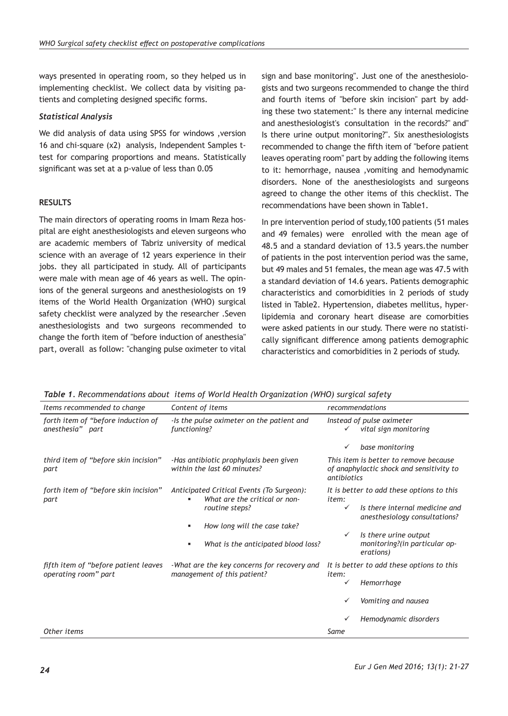ways presented in operating room, so they helped us in implementing checklist. We collect data by visiting patients and completing designed specific forms.

# *Statistical Analysis*

We did analysis of data using SPSS for windows ,version 16 and chi-square (χ2) analysis, Independent Samples ttest for comparing proportions and means. Statistically significant was set at a p-value of less than 0.05

# **RESULTS**

The main directors of operating rooms in Imam Reza hospital are eight anesthesiologists and eleven surgeons who are academic members of Tabriz university of medical science with an average of 12 years experience in their jobs. they all participated in study. All of participants were male with mean age of 46 years as well. The opinions of the general surgeons and anesthesiologists on 19 items of the World Health Organization (WHO) surgical safety checklist were analyzed by the researcher .Seven anesthesiologists and two surgeons recommended to change the forth item of "before induction of anesthesia" part, overall as follow: "changing pulse oximeter to vital sign and base monitoring". Just one of the anesthesiologists and two surgeons recommended to change the third and fourth items of "before skin incision" part by adding these two statement:" Is there any internal medicine and anesthesiologist's consultation in the records?" and" Is there urine output monitoring?". Six anesthesiologists recommended to change the fifth item of "before patient leaves operating room" part by adding the following items to it: hemorrhage, nausea ,vomiting and hemodynamic disorders. None of the anesthesiologists and surgeons agreed to change the other items of this checklist. The recommendations have been shown in Table1.

In pre intervention period of study,100 patients (51 males and 49 females) were enrolled with the mean age of 48.5 and a standard deviation of 13.5 years.the number of patients in the post intervention period was the same, but 49 males and 51 females, the mean age was 47.5 with a standard deviation of 14.6 years. Patients demographic characteristics and comorbidities in 2 periods of study listed in Table2. Hypertension, diabetes mellitus, hyperlipidemia and coronary heart disease are comorbities were asked patients in our study. There were no statistically significant difference among patients demographic characteristics and comorbidities in 2 periods of study.

*Table 1. Recommendations about items of World Health Organization (WHO) surgical safety*

| Items recommended to change                                  | Content of items                                                                             | recommendations                                                                                  |
|--------------------------------------------------------------|----------------------------------------------------------------------------------------------|--------------------------------------------------------------------------------------------------|
| forth item of "before induction of<br>anesthesia" part       | -Is the pulse oximeter on the patient and<br>functioning?                                    | Instead of pulse oximeter<br>vital sign monitoring<br>✓                                          |
|                                                              |                                                                                              | base monitoring<br>✓                                                                             |
| third item of "before skin incision"<br>part                 | -Has antibiotic prophylaxis been given<br>within the last 60 minutes?                        | This item is better to remove because<br>of anaphylactic shock and sensitivity to<br>antibiotics |
| forth item of "before skin incision"<br>part                 | Anticipated Critical Events (To Surgeon):<br>What are the critical or non-<br>routine steps? | It is better to add these options to this<br>item:                                               |
|                                                              |                                                                                              | Is there internal medicine and<br>✓<br>anesthesiology consultations?                             |
|                                                              | How long will the case take?<br>٠                                                            |                                                                                                  |
|                                                              | What is the anticipated blood loss?                                                          | Is there urine output<br>$\checkmark$<br>monitoring?(in particular op-<br>erations)              |
| fifth item of "before patient leaves<br>operating room" part | -What are the key concerns for recovery and<br>management of this patient?                   | It is better to add these options to this<br>item:                                               |
|                                                              |                                                                                              | Hemorrhage<br>✓                                                                                  |
|                                                              |                                                                                              | Vomiting and nausea                                                                              |
|                                                              |                                                                                              | Hemodynamic disorders                                                                            |
| Other items                                                  |                                                                                              | Same                                                                                             |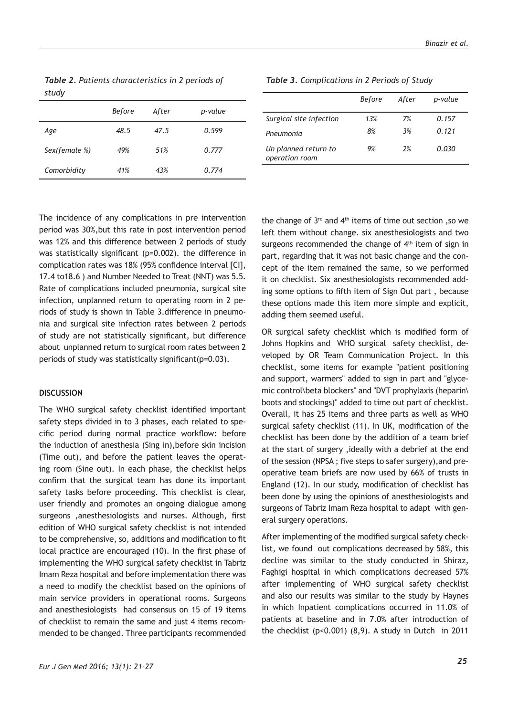*Table 2. Patients characteristics in 2 periods of study* 

|               | Before | After | p-value |
|---------------|--------|-------|---------|
| Age           | 48.5   | 47.5  | 0.599   |
| Sex(female %) | 49%    | 51%   | 0.777   |
| Comorbidity   | 41%    | 43%   | 0.774   |

*Table 3. Complications in 2 Periods of Study*

|                                        | <b>Before</b> | After | p-value |
|----------------------------------------|---------------|-------|---------|
| Surgical site infection                | 13%           | 7%    | 0.157   |
| Pneumonia                              | 8%            | 3%    | 0.121   |
| Un planned return to<br>operation room | 9%            | 2%    | 0.030   |

The incidence of any complications in pre intervention period was 30%,but this rate in post intervention period was 12% and this difference between 2 periods of study was statistically significant (p=0.002). the difference in complication rates was 18% (95% confidence interval [CI], 17.4 to18.6 ) and Number Needed to Treat (NNT) was 5.5. Rate of complications included pneumonia, surgical site infection, unplanned return to operating room in 2 periods of study is shown in Table 3.difference in pneumonia and surgical site infection rates between 2 periods of study are not statistically significant, but difference about unplanned return to surgical room rates between 2 periods of study was statistically significant(p=0.03).

#### **DISCUSSION**

The WHO surgical safety checklist identified important safety steps divided in to 3 phases, each related to specific period during normal practice workflow: before the induction of anesthesia (Sing in),before skin incision (Time out), and before the patient leaves the operating room (Sine out). In each phase, the checklist helps confirm that the surgical team has done its important safety tasks before proceeding. This checklist is clear, user friendly and promotes an ongoing dialogue among surgeons ,anesthesiologists and nurses. Although, first edition of WHO surgical safety checklist is not intended to be comprehensive, so, additions and modification to fit local practice are encouraged (10). In the first phase of implementing the WHO surgical safety checklist in Tabriz Imam Reza hospital and before implementation there was a need to modify the checklist based on the opinions of main service providers in operational rooms. Surgeons and anesthesiologists had consensus on 15 of 19 items of checklist to remain the same and just 4 items recommended to be changed. Three participants recommended

the change of  $3^{rd}$  and  $4^{th}$  items of time out section ,so we left them without change. six anesthesiologists and two surgeons recommended the change of  $4<sup>th</sup>$  item of sign in part, regarding that it was not basic change and the concept of the item remained the same, so we performed it on checklist. Six anesthesiologists recommended adding some options to fifth item of Sign Out part , because these options made this item more simple and explicit, adding them seemed useful.

OR surgical safety checklist which is modified form of Johns Hopkins and WHO surgical safety checklist, developed by OR Team Communication Project. In this checklist, some items for example "patient positioning and support, warmers" added to sign in part and "glycemic control\beta blockers" and "DVT prophylaxis (heparin\ boots and stockings)" added to time out part of checklist. Overall, it has 25 items and three parts as well as WHO surgical safety checklist (11). In UK, modification of the checklist has been done by the addition of a team brief at the start of surgery ,ideally with a debrief at the end of the session (NPSA ; five steps to safer surgery),and preoperative team briefs are now used by 66% of trusts in England (12). In our study, modification of checklist has been done by using the opinions of anesthesiologists and surgeons of Tabriz Imam Reza hospital to adapt with general surgery operations.

After implementing of the modified surgical safety checklist, we found out complications decreased by 58%, this decline was similar to the study conducted in Shiraz, Faghigi hospital in which complications decreased 57% after implementing of WHO surgical safety checklist and also our results was similar to the study by Haynes in which Inpatient complications occurred in 11.0% of patients at baseline and in 7.0% after introduction of the checklist  $(p<0.001)$   $(8,9)$ . A study in Dutch in 2011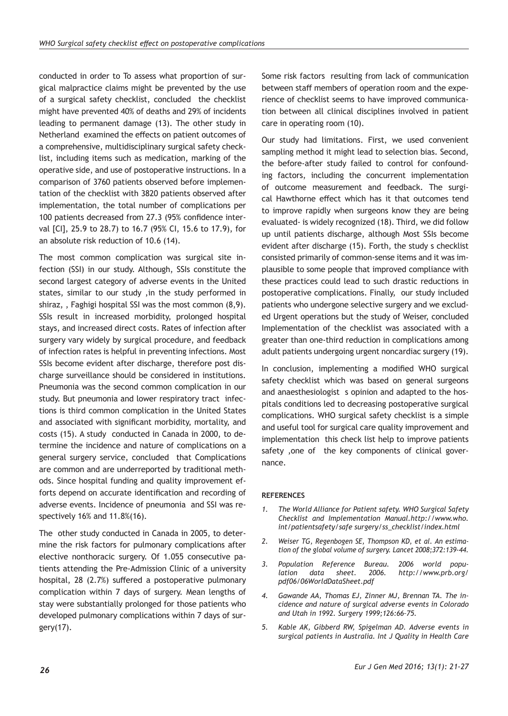conducted in order to To assess what proportion of surgical malpractice claims might be prevented by the use of a surgical safety checklist, concluded the checklist might have prevented 40% of deaths and 29% of incidents leading to permanent damage (13). The other study in Netherland examined the effects on patient outcomes of a comprehensive, multidisciplinary surgical safety checklist, including items such as medication, marking of the operative side, and use of postoperative instructions. In a comparison of 3760 patients observed before implementation of the checklist with 3820 patients observed after implementation, the total number of complications per 100 patients decreased from 27.3 (95% confidence interval [CI], 25.9 to 28.7) to 16.7 (95% CI, 15.6 to 17.9), for an absolute risk reduction of 10.6 (14).

The most common complication was surgical site infection (SSI) in our study. Although, SSIs constitute the second largest category of adverse events in the United states, similar to our study ,in the study performed in shiraz, , Faghigi hospital SSI was the most common (8,9). SSIs result in increased morbidity, prolonged hospital stays, and increased direct costs. Rates of infection after surgery vary widely by surgical procedure, and feedback of infection rates is helpful in preventing infections. Most SSIs become evident after discharge, therefore post discharge surveillance should be considered in institutions. Pneumonia was the second common complication in our study. But pneumonia and lower respiratory tract infections is third common complication in the United States and associated with significant morbidity, mortality, and costs (15). A study conducted in Canada in 2000, to determine the incidence and nature of complications on a general surgery service, concluded that Complications are common and are underreported by traditional methods. Since hospital funding and quality improvement efforts depend on accurate identification and recording of adverse events. Incidence of pneumonia and SSI was respectively 16% and 11.8%(16).

The other study conducted in Canada in 2005, to determine the risk factors for pulmonary complications after elective nonthoracic surgery. Of 1.055 consecutive patients attending the Pre-Admission Clinic of a university hospital, 28 (2.7%) suffered a postoperative pulmonary complication within 7 days of surgery. Mean lengths of stay were substantially prolonged for those patients who developed pulmonary complications within 7 days of surgery(17).

Some risk factors resulting from lack of communication between staff members of operation room and the experience of checklist seems to have improved communication between all clinical disciplines involved in patient care in operating room (10).

Our study had limitations. First, we used convenient sampling method it might lead to selection bias. Second, the before-after study failed to control for confounding factors, including the concurrent implementation of outcome measurement and feedback. The surgical Hawthorne effect which has it that outcomes tend to improve rapidly when surgeons know they are being evaluated- is widely recognized (18). Third, we did follow up until patients discharge, although Most SSIs become evident after discharge (15). Forth, the study s checklist consisted primarily of common-sense items and it was implausible to some people that improved compliance with these practices could lead to such drastic reductions in postoperative complications. Finally, our study included patients who undergone selective surgery and we excluded Urgent operations but the study of Weiser, concluded Implementation of the checklist was associated with a greater than one-third reduction in complications among adult patients undergoing urgent noncardiac surgery (19).

In conclusion, implementing a modified WHO surgical safety checklist which was based on general surgeons and anaesthesiologist s opinion and adapted to the hospitals conditions led to decreasing postoperative surgical complications. WHO surgical safety checklist is a simple and useful tool for surgical care quality improvement and implementation this check list help to improve patients safety, one of the key components of clinical governance.

# **REFERENCES**

- *1. The World Alliance for Patient safety. WHO Surgical Safety Checklist and Implementation Manual.http://www.who. int/patientsafety/safe surgery/ss\_checklist/index.html*
- *2. Weiser TG, Regenbogen SE, Thompson KD, et al. An estimation of the global volume of surgery. Lancet 2008;372:139-44.*
- *3. Population Reference Bureau. 2006 world population data sheet. 2006. http://www.prb.org/ pdf06/06WorldDataSheet.pdf*
- *4. Gawande AA, Thomas EJ, Zinner MJ, Brennan TA. The incidence and nature of surgical adverse events in Colorado and Utah in 1992. Surgery 1999;126:66–75.*
- *5. Kable AK, Gibberd RW, Spigelman AD. Adverse events in surgical patients in Australia. Int J Quality in Health Care*